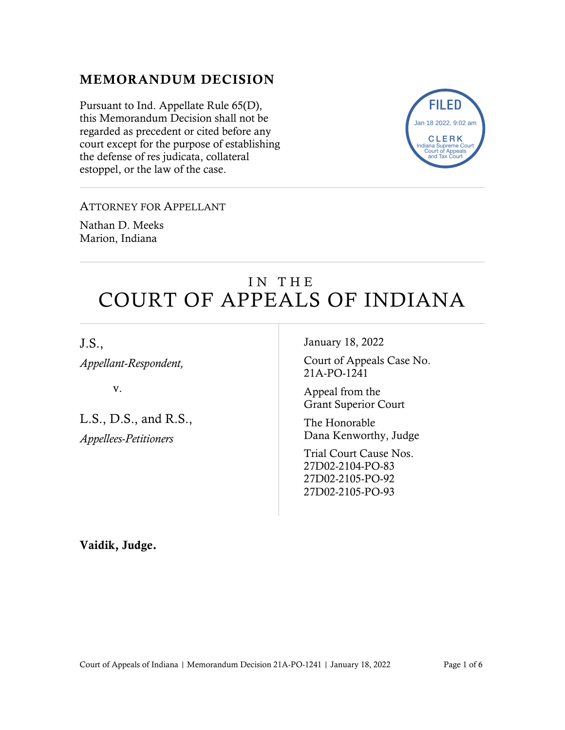#### MEMORANDUM DECISION

Pursuant to Ind. Appellate Rule 65(D), this Memorandum Decision shall not be regarded as precedent or cited before any court except for the purpose of establishing the defense of res judicata, collateral estoppel, or the law of the case.



#### ATTORNEY FOR APPELLANT

Nathan D. Meeks Marion, Indiana

# IN THE COURT OF APPEALS OF INDIANA

J.S.,

*Appellant-Respondent,*

v.

L.S., D.S., and R.S., *Appellees-Petitioners*

January 18, 2022

Court of Appeals Case No. 21A-PO-1241

Appeal from the Grant Superior Court

The Honorable Dana Kenworthy, Judge

Trial Court Cause Nos. 27D02-2104-PO-83 27D02-2105-PO-92 27D02-2105-PO-93

Vaidik, Judge.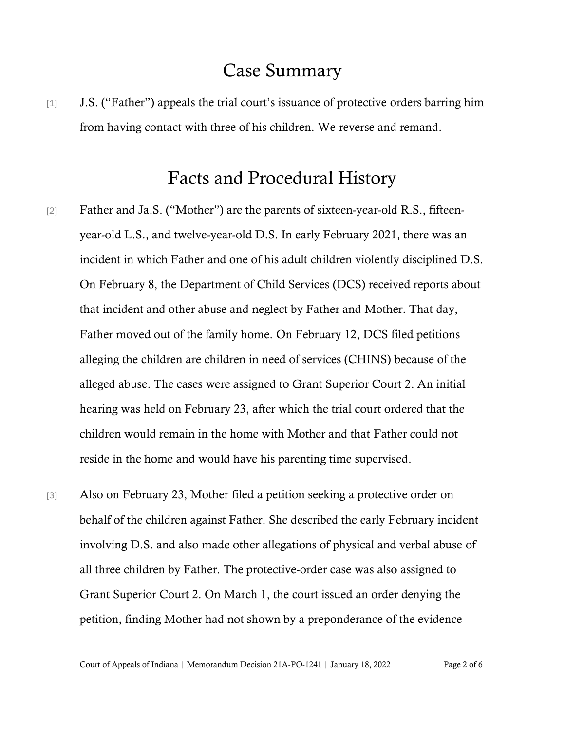## Case Summary

[1] J.S. ("Father") appeals the trial court's issuance of protective orders barring him from having contact with three of his children. We reverse and remand.

### Facts and Procedural History

- [2] Father and Ja.S. ("Mother") are the parents of sixteen-year-old R.S., fifteenyear-old L.S., and twelve-year-old D.S. In early February 2021, there was an incident in which Father and one of his adult children violently disciplined D.S. On February 8, the Department of Child Services (DCS) received reports about that incident and other abuse and neglect by Father and Mother. That day, Father moved out of the family home. On February 12, DCS filed petitions alleging the children are children in need of services (CHINS) because of the alleged abuse. The cases were assigned to Grant Superior Court 2. An initial hearing was held on February 23, after which the trial court ordered that the children would remain in the home with Mother and that Father could not reside in the home and would have his parenting time supervised.
- [3] Also on February 23, Mother filed a petition seeking a protective order on behalf of the children against Father. She described the early February incident involving D.S. and also made other allegations of physical and verbal abuse of all three children by Father. The protective-order case was also assigned to Grant Superior Court 2. On March 1, the court issued an order denying the petition, finding Mother had not shown by a preponderance of the evidence

Court of Appeals of Indiana | Memorandum Decision 21A-PO-1241 | January 18, 2022 Page 2 of 6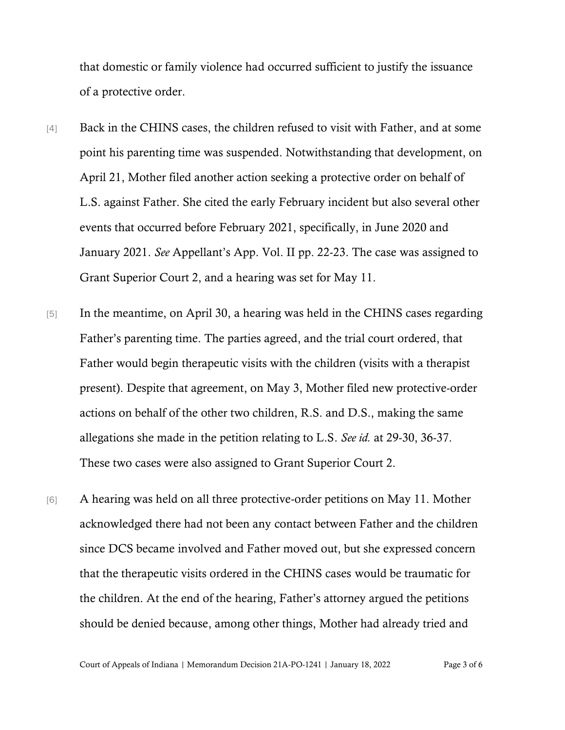that domestic or family violence had occurred sufficient to justify the issuance of a protective order.

- [4] Back in the CHINS cases, the children refused to visit with Father, and at some point his parenting time was suspended. Notwithstanding that development, on April 21, Mother filed another action seeking a protective order on behalf of L.S. against Father. She cited the early February incident but also several other events that occurred before February 2021, specifically, in June 2020 and January 2021. *See* Appellant's App. Vol. II pp. 22-23. The case was assigned to Grant Superior Court 2, and a hearing was set for May 11.
- [5] In the meantime, on April 30, a hearing was held in the CHINS cases regarding Father's parenting time. The parties agreed, and the trial court ordered, that Father would begin therapeutic visits with the children (visits with a therapist present). Despite that agreement, on May 3, Mother filed new protective-order actions on behalf of the other two children, R.S. and D.S., making the same allegations she made in the petition relating to L.S. *See id.* at 29-30, 36-37. These two cases were also assigned to Grant Superior Court 2.
- [6] A hearing was held on all three protective-order petitions on May 11. Mother acknowledged there had not been any contact between Father and the children since DCS became involved and Father moved out, but she expressed concern that the therapeutic visits ordered in the CHINS cases would be traumatic for the children. At the end of the hearing, Father's attorney argued the petitions should be denied because, among other things, Mother had already tried and

Court of Appeals of Indiana | Memorandum Decision 21A-PO-1241 | January 18, 2022 Page 3 of 6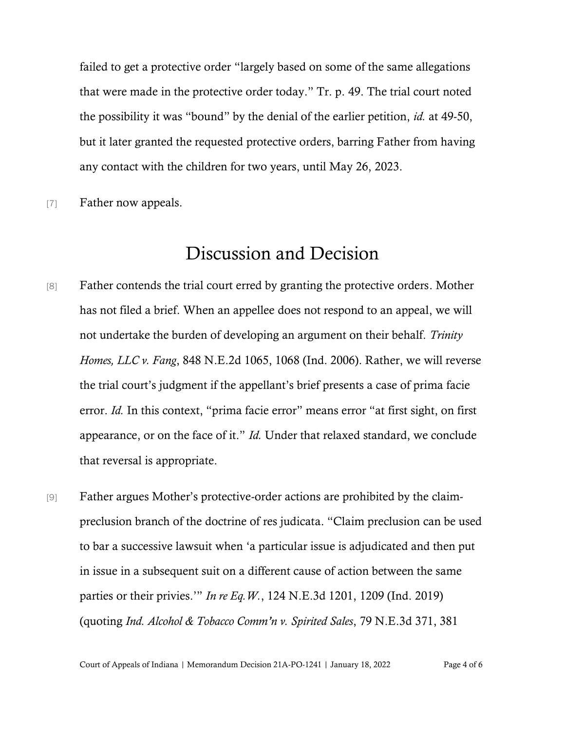failed to get a protective order "largely based on some of the same allegations that were made in the protective order today." Tr. p. 49. The trial court noted the possibility it was "bound" by the denial of the earlier petition, *id.* at 49-50, but it later granted the requested protective orders, barring Father from having any contact with the children for two years, until May 26, 2023.

[7] Father now appeals.

# Discussion and Decision

- [8] Father contends the trial court erred by granting the protective orders. Mother has not filed a brief. When an appellee does not respond to an appeal, we will not undertake the burden of developing an argument on their behalf. *Trinity Homes, LLC v. Fang*, 848 N.E.2d 1065, 1068 (Ind. 2006). Rather, we will reverse the trial court's judgment if the appellant's brief presents a case of prima facie error. *Id.* In this context, "prima facie error" means error "at first sight, on first appearance, or on the face of it." *Id.* Under that relaxed standard, we conclude that reversal is appropriate.
- [9] Father argues Mother's protective-order actions are prohibited by the claimpreclusion branch of the doctrine of res judicata. "Claim preclusion can be used to bar a successive lawsuit when 'a particular issue is adjudicated and then put in issue in a subsequent suit on a different cause of action between the same parties or their privies.'" *In re Eq.W.*, 124 N.E.3d 1201, 1209 (Ind. 2019) (quoting *Ind. Alcohol & Tobacco Comm'n v. Spirited Sales*, 79 N.E.3d 371, 381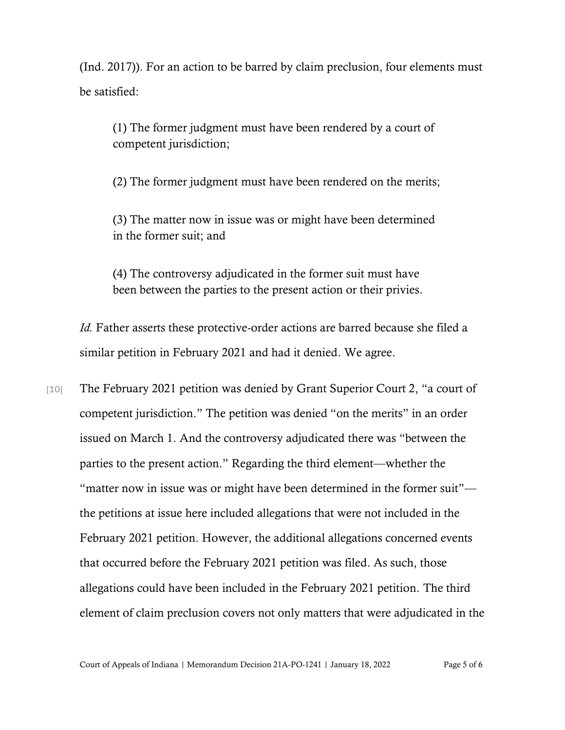(Ind. 2017)). For an action to be barred by claim preclusion, four elements must be satisfied:

(1) The former judgment must have been rendered by a court of competent jurisdiction;

(2) The former judgment must have been rendered on the merits;

(3) The matter now in issue was or might have been determined in the former suit; and

(4) The controversy adjudicated in the former suit must have been between the parties to the present action or their privies.

*Id.* Father asserts these protective-order actions are barred because she filed a similar petition in February 2021 and had it denied. We agree.

[10] The February 2021 petition was denied by Grant Superior Court 2, "a court of competent jurisdiction." The petition was denied "on the merits" in an order issued on March 1. And the controversy adjudicated there was "between the parties to the present action." Regarding the third element—whether the "matter now in issue was or might have been determined in the former suit" the petitions at issue here included allegations that were not included in the February 2021 petition. However, the additional allegations concerned events that occurred before the February 2021 petition was filed. As such, those allegations could have been included in the February 2021 petition. The third element of claim preclusion covers not only matters that were adjudicated in the